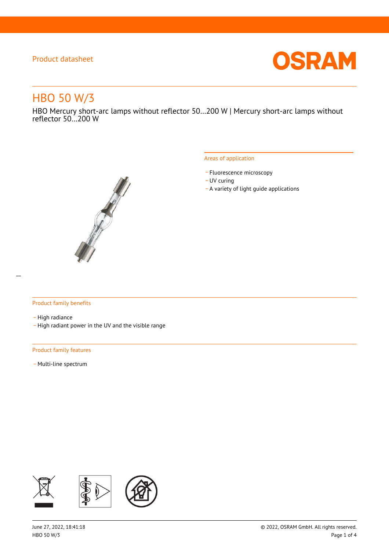

# HBO 50 W/3

HBO Mercury short-arc lamps without reflector 50…200 W | Mercury short-arc lamps without reflector 50…200 W



#### Areas of application

- Fluorescence microscopy
- UV curing
- \_ A variety of light guide applications

#### Product family benefits

- High radiance
- \_ High radiant power in the UV and the visible range

#### Product family features

- Multi-line spectrum

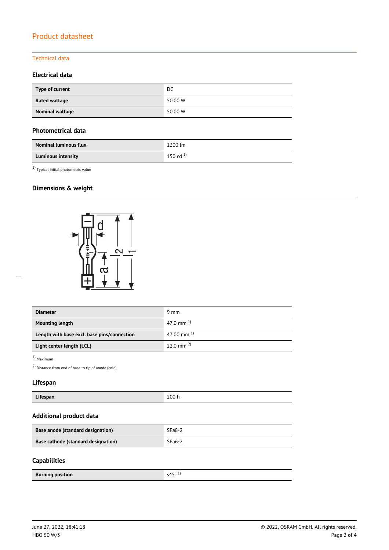## Technical data

## **Electrical data**

| Type of current | DC      |
|-----------------|---------|
| Rated wattage   | 50.00 W |
| Nominal wattage | 50.00 W |

#### **Photometrical data**

| <b>Nominal luminous flux</b> | 1300 lm       |
|------------------------------|---------------|
| <b>Luminous intensity</b>    | 150 cd $^{1}$ |

1) Typical initial photometric value

# **Dimensions & weight**



| <b>Diameter</b>                             | 9 mm                  |  |
|---------------------------------------------|-----------------------|--|
| <b>Mounting length</b>                      | 47.0 mm $^{1}$        |  |
| Length with base excl. base pins/connection | 47.00 mm $^{1}$       |  |
| Light center length (LCL)                   | $22.0 \text{ mm}^{2}$ |  |

1) Maximum

2) Distance from end of base to tip of anode (cold)

## **Lifespan**

| $\cdots$<br>Lifespan | 200 h |
|----------------------|-------|
|----------------------|-------|

# **Additional product data**

| Base anode (standard designation)   | $SFa8-2$ |
|-------------------------------------|----------|
| Base cathode (standard designation) | $SFa6-2$ |

#### **Capabilities**

| <b>Burning position</b> | $\sim$ $\sim$<br>$\sim$ $\Lambda$<br>. |
|-------------------------|----------------------------------------|
|                         |                                        |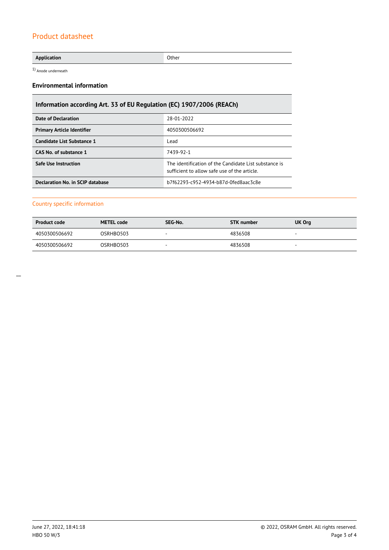#### **Application** Other

1) Anode underneath

#### **Environmental information**

# **Information according Art. 33 of EU Regulation (EC) 1907/2006 (REACh)**

| <b>Date of Declaration</b>        | 28-01-2022                                                                                            |
|-----------------------------------|-------------------------------------------------------------------------------------------------------|
| <b>Primary Article Identifier</b> | 4050300506692                                                                                         |
| Candidate List Substance 1        | Lead                                                                                                  |
| CAS No. of substance 1            | 7439-92-1                                                                                             |
| <b>Safe Use Instruction</b>       | The identification of the Candidate List substance is<br>sufficient to allow safe use of the article. |
| Declaration No. in SCIP database  | b7f62293-c952-4934-b87d-0fed8aac3c8e                                                                  |

#### Country specific information

| <b>Product code</b> | <b>METEL code</b> | SEG-No.<br><b>STK</b> number |         | UK Org                   |
|---------------------|-------------------|------------------------------|---------|--------------------------|
| 4050300506692       | OSRHBO503         | -                            | 4836508 | $\overline{\phantom{a}}$ |
| 4050300506692       | OSRHBO503         |                              | 4836508 |                          |